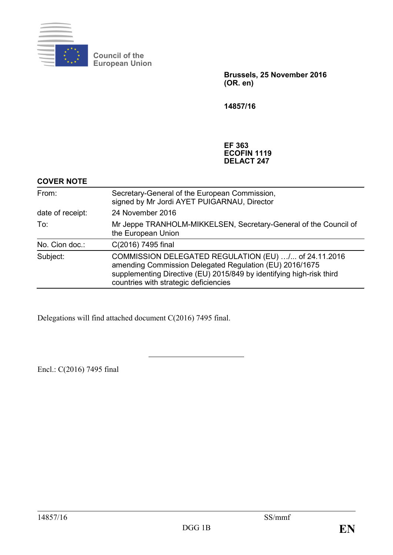

**Council of the European Union**

> **Brussels, 25 November 2016 (OR. en)**

**14857/16**

**EF 363 ECOFIN 1119 DELACT 247**

### **COVER NOTE**

| From:<br>date of receipt:<br>To: | Secretary-General of the European Commission,<br>signed by Mr Jordi AYET PUIGARNAU, Director                                                                                                                                     |
|----------------------------------|----------------------------------------------------------------------------------------------------------------------------------------------------------------------------------------------------------------------------------|
|                                  | 24 November 2016                                                                                                                                                                                                                 |
|                                  | Mr Jeppe TRANHOLM-MIKKELSEN, Secretary-General of the Council of<br>the European Union                                                                                                                                           |
| No. Cion doc.:                   | C(2016) 7495 final                                                                                                                                                                                                               |
| Subject:                         | COMMISSION DELEGATED REGULATION (EU) / of 24.11.2016<br>amending Commission Delegated Regulation (EU) 2016/1675<br>supplementing Directive (EU) 2015/849 by identifying high-risk third<br>countries with strategic deficiencies |

Delegations will find attached document C(2016) 7495 final.

Encl.: C(2016) 7495 final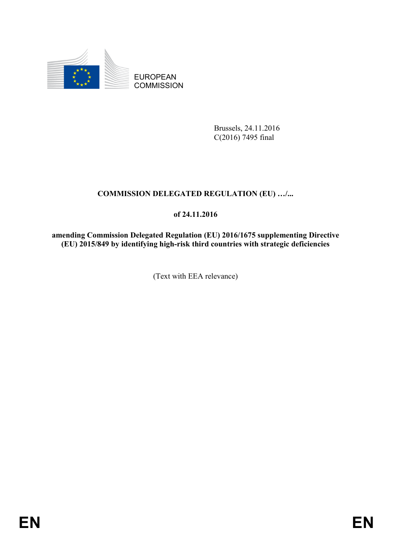

EUROPEAN **COMMISSION** 

> Brussels, 24.11.2016 C(2016) 7495 final

# **COMMISSION DELEGATED REGULATION (EU) …/...**

# **of 24.11.2016**

**amending Commission Delegated Regulation (EU) 2016/1675 supplementing Directive (EU) 2015/849 by identifying high-risk third countries with strategic deficiencies**

(Text with EEA relevance)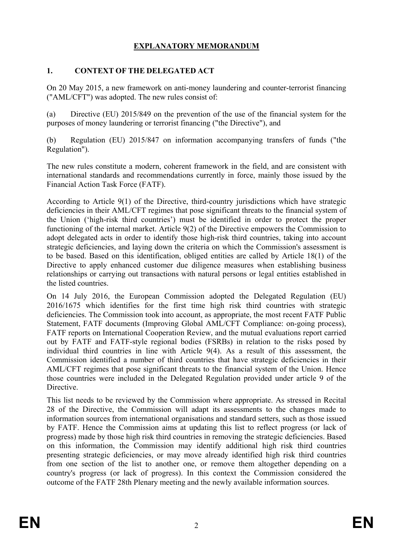## **EXPLANATORY MEMORANDUM**

## **1. CONTEXT OF THE DELEGATED ACT**

On 20 May 2015, a new framework on anti-money laundering and counter-terrorist financing ("AML/CFT") was adopted. The new rules consist of:

(a) Directive (EU) 2015/849 on the prevention of the use of the financial system for the purposes of money laundering or terrorist financing ("the Directive"), and

(b) Regulation (EU) 2015/847 on information accompanying transfers of funds ("the Regulation").

The new rules constitute a modern, coherent framework in the field, and are consistent with international standards and recommendations currently in force, mainly those issued by the Financial Action Task Force (FATF).

According to Article 9(1) of the Directive, third-country jurisdictions which have strategic deficiencies in their AML/CFT regimes that pose significant threats to the financial system of the Union ('high-risk third countries') must be identified in order to protect the proper functioning of the internal market. Article 9(2) of the Directive empowers the Commission to adopt delegated acts in order to identify those high-risk third countries, taking into account strategic deficiencies, and laying down the criteria on which the Commission's assessment is to be based. Based on this identification, obliged entities are called by Article 18(1) of the Directive to apply enhanced customer due diligence measures when establishing business relationships or carrying out transactions with natural persons or legal entities established in the listed countries.

On 14 July 2016, the European Commission adopted the Delegated Regulation (EU) 2016/1675 which identifies for the first time high risk third countries with strategic deficiencies. The Commission took into account, as appropriate, the most recent FATF Public Statement, FATF documents (Improving Global AML/CFT Compliance: on-going process), FATF reports on International Cooperation Review, and the mutual evaluations report carried out by FATF and FATF-style regional bodies (FSRBs) in relation to the risks posed by individual third countries in line with Article 9(4). As a result of this assessment, the Commission identified a number of third countries that have strategic deficiencies in their AML/CFT regimes that pose significant threats to the financial system of the Union. Hence those countries were included in the Delegated Regulation provided under article 9 of the **Directive** 

This list needs to be reviewed by the Commission where appropriate. As stressed in Recital 28 of the Directive, the Commission will adapt its assessments to the changes made to information sources from international organisations and standard setters, such as those issued by FATF. Hence the Commission aims at updating this list to reflect progress (or lack of progress) made by those high risk third countries in removing the strategic deficiencies. Based on this information, the Commission may identify additional high risk third countries presenting strategic deficiencies, or may move already identified high risk third countries from one section of the list to another one, or remove them altogether depending on a country's progress (or lack of progress). In this context the Commission considered the outcome of the FATF 28th Plenary meeting and the newly available information sources.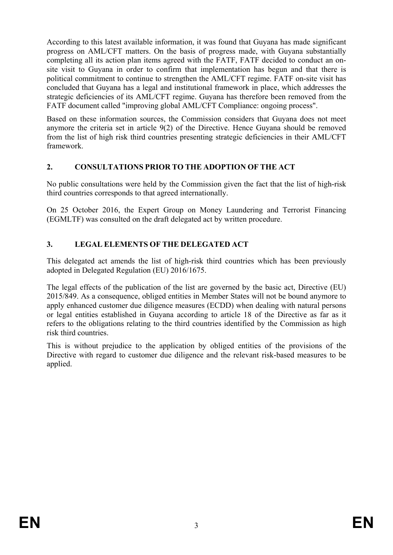According to this latest available information, it was found that Guyana has made significant progress on AML/CFT matters. On the basis of progress made, with Guyana substantially completing all its action plan items agreed with the FATF, FATF decided to conduct an onsite visit to Guyana in order to confirm that implementation has begun and that there is political commitment to continue to strengthen the AML/CFT regime. FATF on-site visit has concluded that Guyana has a legal and institutional framework in place, which addresses the strategic deficiencies of its AML/CFT regime. Guyana has therefore been removed from the FATF document called "improving global AML/CFT Compliance: ongoing process".

Based on these information sources, the Commission considers that Guyana does not meet anymore the criteria set in article 9(2) of the Directive. Hence Guyana should be removed from the list of high risk third countries presenting strategic deficiencies in their AML/CFT framework.

## **2. CONSULTATIONS PRIOR TO THE ADOPTION OF THE ACT**

No public consultations were held by the Commission given the fact that the list of high-risk third countries corresponds to that agreed internationally.

On 25 October 2016, the Expert Group on Money Laundering and Terrorist Financing (EGMLTF) was consulted on the draft delegated act by written procedure.

## **3. LEGAL ELEMENTS OF THE DELEGATED ACT**

This delegated act amends the list of high-risk third countries which has been previously adopted in Delegated Regulation (EU) 2016/1675.

The legal effects of the publication of the list are governed by the basic act, Directive (EU) 2015/849. As a consequence, obliged entities in Member States will not be bound anymore to apply enhanced customer due diligence measures (ECDD) when dealing with natural persons or legal entities established in Guyana according to article 18 of the Directive as far as it refers to the obligations relating to the third countries identified by the Commission as high risk third countries.

This is without prejudice to the application by obliged entities of the provisions of the Directive with regard to customer due diligence and the relevant risk-based measures to be applied.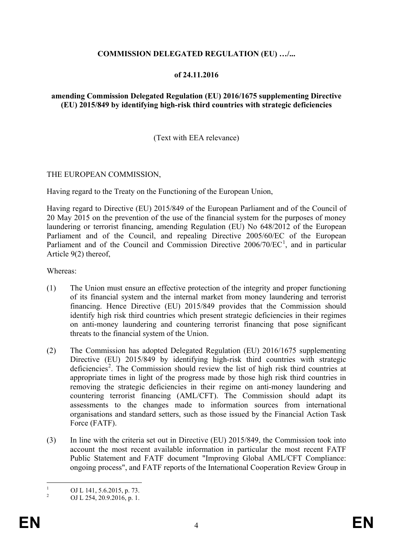### **COMMISSION DELEGATED REGULATION (EU) …/...**

#### **of 24.11.2016**

#### **amending Commission Delegated Regulation (EU) 2016/1675 supplementing Directive (EU) 2015/849 by identifying high-risk third countries with strategic deficiencies**

(Text with EEA relevance)

#### THE EUROPEAN COMMISSION,

Having regard to the Treaty on the Functioning of the European Union,

Having regard to Directive (EU) 2015/849 of the European Parliament and of the Council of 20 May 2015 on the prevention of the use of the financial system for the purposes of money laundering or terrorist financing, amending Regulation (EU) No 648/2012 of the European Parliament and of the Council, and repealing Directive 2005/60/EC of the European Parliament and of the Council and Commission Directive 2006/70/EC<sup>[1](#page-4-0)</sup>, and in particular Article 9(2) thereof,

Whereas:

- (1) The Union must ensure an effective protection of the integrity and proper functioning of its financial system and the internal market from money laundering and terrorist financing. Hence Directive (EU) 2015/849 provides that the Commission should identify high risk third countries which present strategic deficiencies in their regimes on anti-money laundering and countering terrorist financing that pose significant threats to the financial system of the Union.
- (2) The Commission has adopted Delegated Regulation (EU) 2016/1675 supplementing Directive (EU) 2015/849 by identifying high-risk third countries with strategic deficiencies<sup>[2](#page-4-1)</sup>. The Commission should review the list of high risk third countries at appropriate times in light of the progress made by those high risk third countries in removing the strategic deficiencies in their regime on anti-money laundering and countering terrorist financing (AML/CFT). The Commission should adapt its assessments to the changes made to information sources from international organisations and standard setters, such as those issued by the Financial Action Task Force (FATF).
- (3) In line with the criteria set out in Directive (EU) 2015/849, the Commission took into account the most recent available information in particular the most recent FATF Public Statement and FATF document "Improving Global AML/CFT Compliance: ongoing process", and FATF reports of the International Cooperation Review Group in

<span id="page-4-0"></span> $\frac{1}{2}$  OJ L 141, 5.6.2015, p. 73.<br>OJ L 254, 20.9.2016, p. 1.

<span id="page-4-1"></span>